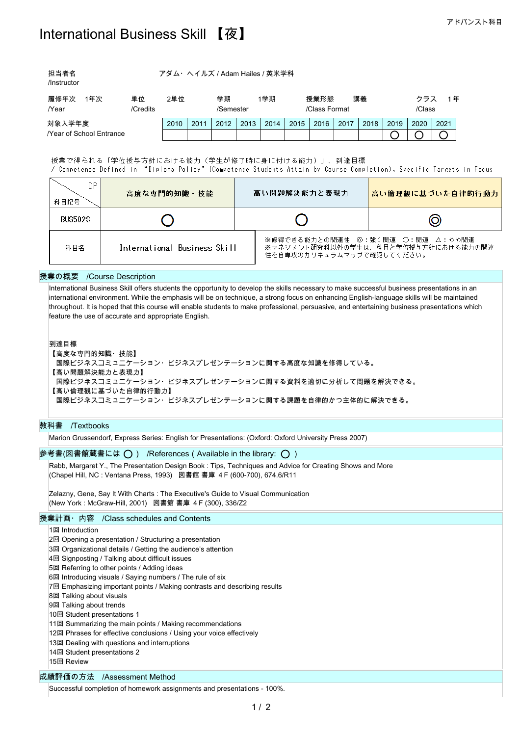| 担当者名        | アダム・ヘイルズ / Adam Hailes / 英米学科 |
|-------------|-------------------------------|
| /Instructor |                               |
|             |                               |

| 履修年次<br>年次                     | 単位       | 2単位  |           | 学期   |               | ∣学期  |      | 授業形態 |        | 講義   |      | ゥラス  |      | 年 |  |
|--------------------------------|----------|------|-----------|------|---------------|------|------|------|--------|------|------|------|------|---|--|
| /Year                          | /Credits |      | /Semester |      | /Class Format |      |      |      | /Class |      |      |      |      |   |  |
| 対象入学年度                         |          | 2010 | 2011      | 2012 | 2013          | 2014 | 2015 | 2016 | 2017   | 2018 | 2019 | 2020 | 2021 |   |  |
| <b>Near of School Entrance</b> |          |      |           |      |               |      |      |      |        |      |      |      |      |   |  |

授業で得られる「学位授与方針における能力(学生が修了時に身に付ける能力)」、到達目標 / Competence Defined in "Diploma Policy" (Competence Students Attain by Course Completion), Specific Targets in Focus

| DP.<br>科目記号    | 高度な専門的知識・技能                  | 高い問題解決能力と表現力              | 高い倫理観に基づいた自律的行動力                                                        |  |  |
|----------------|------------------------------|---------------------------|-------------------------------------------------------------------------|--|--|
| <b>BUS502S</b> |                              |                           |                                                                         |  |  |
| 科目名            | International Business Skill | 性を自専攻のカリキュラムマップで確認してください。 | ※修得できる能力との関連性 ◎:強く関連 ○:関連 △:やや関連<br>※マネジメント研究科以外の学生は、科目と学位授与方針における能力の関連 |  |  |

### 授業の概要 /Course Description

International Business Skill offers students the opportunity to develop the skills necessary to make successful business presentations in an international environment. While the emphasis will be on technique, a strong focus on enhancing English-language skills will be maintained throughout. It is hoped that this course will enable students to make professional, persuasive, and entertaining business presentations which feature the use of accurate and appropriate English.

到達目標

【高度な専門的知識・技能】 国際ビジネスコミュニケーション・ビジネスプレゼンテーションに関する高度な知識を修得している。 【高い問題解決能力と表現力】 国際ビジネスコミュニケーション・ビジネスプレゼンテーションに関する資料を適切に分析して問題を解決できる。 【高い倫理観に基づいた自律的行動力】 国際ビジネスコミュニケーション・ビジネスプレゼンテーションに関する課題を自律的かつ主体的に解決できる。

# 教科書 /Textbooks

Marion Grussendorf, Express Series: English for Presentations: (Oxford: Oxford University Press 2007)

# 参考書(図書館蔵書には  $\bigcirc$ ) /References (Available in the library:  $\bigcirc$ )

Rabb, Margaret Y., The Presentation Design Book : Tips, Techniques and Advice for Creating Shows and More (Chapel Hill, NC : Ventana Press, 1993) 図書館 書庫 4F (600-700), 674.6/R11

Zelazny, Gene, Say It With Charts : The Executive's Guide to Visual Communication (New York : McGraw-Hill, 2001) 図書館 書庫 4F (300), 336/Z2

## 授業計画・内容 /Class schedules and Contents

1回 Introduction

- 2回 Opening a presentation / Structuring a presentation
- 3回 Organizational details / Getting the audience's attention
- 4回 Signposting / Talking about difficult issues
- 5回 Referring to other points / Adding ideas
- 6回 Introducing visuals / Saying numbers / The rule of six
- 7回 Emphasizing important points / Making contrasts and describing results
- 8回 Talking about visuals
- 9回 Talking about trends
- 10回 Student presentations 1
- 11回 Summarizing the main points / Making recommendations
- 12回 Phrases for effective conclusions / Using your voice effectively
- 13回 Dealing with questions and interruptions
- 14回 Student presentations 2
- 15回 Review

### 成績評価の方法 /Assessment Method

Successful completion of homework assignments and presentations - 100%.